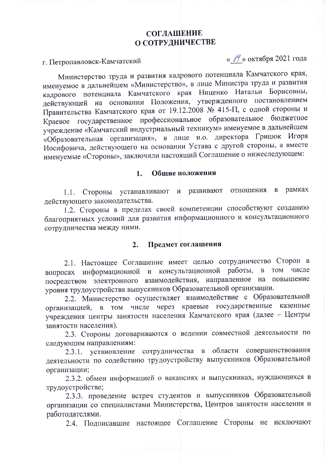## **СОГЛАШЕНИЕ** О СОТРУДНИЧЕСТВЕ

г. Петропавловск-Камчатский

# «  $/4$ » октября 2021 года

Министерство труда и развития кадрового потенциала Камчатского края, именуемое в дальнейшем «Министерство», в лице Министра труда и развития кадрового потенциала Камчатского края Ниценко Натальи Борисовны, действующей на основании Положения, утвержденного постановлением Правительства Камчатского края от 19.12.2008 № 415-П, с одной стороны и Краевое государственное профессиональное образовательное бюджетное учреждение «Камчатский индустриальный техникум» именуемое в дальнейшем «Образовательная организация», в лице и.о. директора Грицюк Игоря Иосифовича, действующего на основании Устава с другой стороны, а вместе именуемые «Стороны», заключили настоящий Соглашение о нижеследующем:

#### $1<sub>1</sub>$ Обшие положения

развивают отношения рамках  $\mathbf{B}$ 1.1. Стороны устанавливают и действующего законодательства.

1.2. Стороны в пределах своей компетенции способствуют созданию благоприятных условий для развития информационного и консультационного сотрудничества между ними.

#### Предмет соглашения  $2.$

2.1. Настоящее Соглашение имеет целью сотрудничество Сторон в информационной и консультационной работы, в том числе вопросах посредством электронного взаимодействия, направленное на повышение уровня трудоустройства выпускников Образовательной организации.

2.2. Министерство осуществляет взаимодействие с Образовательной в том числе через краевые государственные казенные организацией, учреждения центры занятости населения Камчатского края (далее - Центры занятости населения).

2.3. Стороны договариваются о ведении совместной деятельности по следующим направлениям:

2.3.1. установление сотрудничества в области совершенствования деятельности по содействию трудоустройству выпускников Образовательной организации;

2.3.2. обмен информацией о вакансиях и выпускниках, нуждающихся в трудоустройстве;

2.3.3. проведение встреч студентов и выпускников Образовательной организации со специалистами Министерства, Центров занятости населения и работодателями.

2.4. Подписавшие настоящее Соглашение Стороны не исключают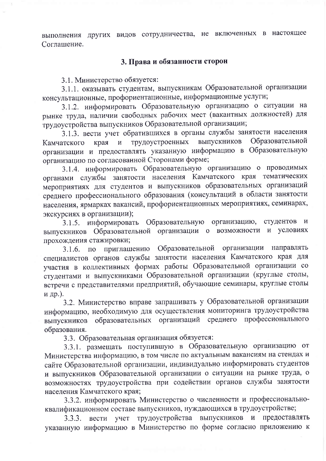выполнения других видов сотрудничества, не включенных в настоящее Соглашение.

### 3. Права и обязанности сторон

3.1. Министерство обязуется:

3.1.1. оказывать студентам, выпускникам Образовательной организации консультационные, профориентационные, информационные услуги;

3.1.2. информировать Образовательную организацию о ситуации на рынке труда, наличии свободных рабочих мест (вакантных должностей) для трудоустройства выпускников Образовательной организации;

3.1.3. вести учет обратившихся в органы службы занятости населения выпускников и трудоустроенных Образовательной края Камчатского организации и предоставлять указанную информацию в Образовательную организацию по согласованной Сторонами форме;

3.1.4. информировать Образовательную организацию о проводимых органами службы занятости населения Камчатского края тематических мероприятиях для студентов и выпускников образовательных организаций среднего профессионального образования (консультаций в области занятости населения, ярмарках вакансий, профориентационных мероприятиях, семинарах, экскурсиях в организации);

информировать Образовательную организацию, студентов  $\mathbf{H}$  $3.1.5.$ выпускников Образовательной организации о возможности и условиях прохождения стажировки;

Образовательной организации направлять приглашению  $3.1.6.$   $\pi$ o специалистов органов службы занятости населения Камчатского края для участия в коллективных формах работы Образовательной организации со студентами и выпускниками Образовательной организации (круглые столы, встречи с представителями предприятий, обучающие семинары, круглые столы и др.).

3.2. Министерство вправе запрашивать у Образовательной организации информацию, необходимую для осуществления мониторинга трудоустройства образовательных организаций среднего профессионального выпускников образования.

3.3. Образовательная организация обязуется:

3.3.1. размещать поступившую в Образовательную организацию от Министерства информацию, в том числе по актуальным вакансиям на стендах и сайте Образовательной организации, индивидуально информировать студентов и выпускников Образовательной организации о ситуации на рынке труда, о возможностях трудоустройства при содействии органов службы занятости населения Камчатского края;

3.3.2. информировать Министерство о численности и профессиональноквалификационном составе выпускников, нуждающихся в трудоустройстве;

вести учет трудоустройства выпускников и предоставлять  $3.3.3.$ указанную информацию в Министерство по форме согласно приложению к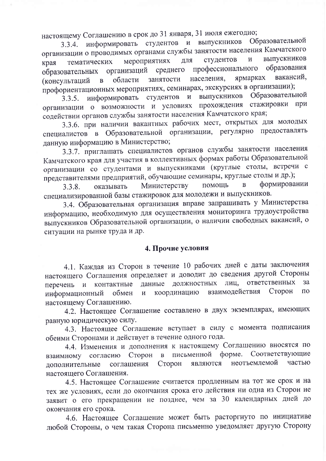настоящему Соглашению в срок до 31 января, 31 июля ежегодно;

Образовательной 3.3.4. информировать студентов и выпускников организации о проводимых органами службы занятости населения Камчатского выпускников мероприятиях студентов  $\mathbf{M}$ ДЛЯ тематических края образования профессионального организаций среднего образовательных вакансий, ярмарках населения, области занятости (консультаций  $\overline{B}$ профориентационных мероприятиях, семинарах, экскурсиях в организации);

Образовательной выпускников информировать студентов и  $3.3.5.$ прохождения стажировки при организации о возможности и условиях содействии органов службы занятости населения Камчатского края;

3.3.6. при наличии вакантных рабочих мест, открытых для молодых специалистов в Образовательной организации, регулярно предоставлять данную информацию в Министерство;

3.3.7. приглашать специалистов органов службы занятости населения Камчатского края для участия в коллективных формах работы Образовательной организации со студентами и выпускниками (круглые столы, встречи с представителями предприятий, обучающие семинары, круглые столы и др.);

формировании помощь  $\overline{B}$ Министерству  $3.3.8.$ оказывать специализированной базы стажировок для молодежи и выпускников.

3.4. Образовательная организация вправе запрашивать у Министерства информацию, необходимую для осуществления мониторинга трудоустройства выпускников Образовательной организации, о наличии свободных вакансий, о ситуации на рынке труда и др.

### 4. Прочие условия

4.1. Каждая из Сторон в течение 10 рабочих дней с даты заключения настоящего Соглашения определяет и доводит до сведения другой Стороны ответственных лиц, данные должностных за контактные перечень  $\mathbf{M}$ взаимодействия Сторон  $\overline{10}$ координацию обмен  $\overline{M}$ информационный настоящему Соглашению.

4.2. Настоящее Соглашение составлено в двух экземплярах, имеющих равную юридическую силу.

4.3. Настоящее Соглашение вступает в силу с момента подписания обеими Сторонами и действует в течение одного года.

4.4. Изменения и дополнения к настоящему Соглашению вносятся по Соответствующие  $\phi$ opme. взаимному согласию Сторон письменной  $\, {\bf B} \,$ частью неотъемлемой Сторон являются дополнительные соглашения настоящего Соглашения.

4.5. Настоящее Соглашение считается продленным на тот же срок и на тех же условиях, если до окончания срока его действия ни одна из Сторон не заявит о его прекращении не позднее, чем за 30 календарных дней до окончания его срока.

4.6. Настоящее Соглашение может быть расторгнуто по инициативе любой Стороны, о чем такая Сторона письменно уведомляет другую Сторону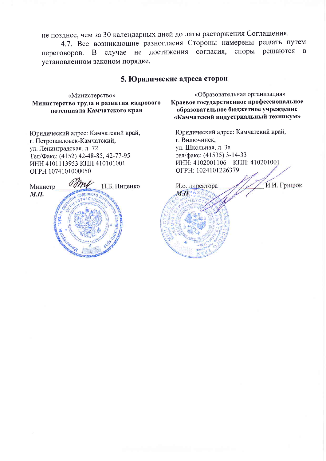не позднее, чем за 30 календарных дней до даты расторжения Соглашения.

4.7. Все возникающие разногласия Стороны намерены решать путем решаются согласия, споры  $\mathbf{B}$ переговоров. В достижения случае  $He$ установленном законом порядке.

### 5. Юридические адреса сторон

«Министерство» Министерство труда и развития кадрового потенциала Камчатского края

Юридический адрес: Камчатский край, г. Петропавловск-Камчатский, ул. Ленинградская, д. 72 Тел/Факс: (4152) 42-48-85, 42-77-95 ИНН 4101113953 КПП 410101001 OFPH 1074101000050



«Образовательная организация» Краевое государственное профессиональное образовательное бюджетное учреждение «Камчатский индустриальный техникум»

Юридический адрес: Камчатский край, г. Вилючинск, ул. Школьная, д. За тел/факс: (41535) 3-14-33 ИНН: 4102001106 КПП: 410201001 OFPH: 1024101226379

И.И. Грицюк

И.о. директора  $M.H.P$